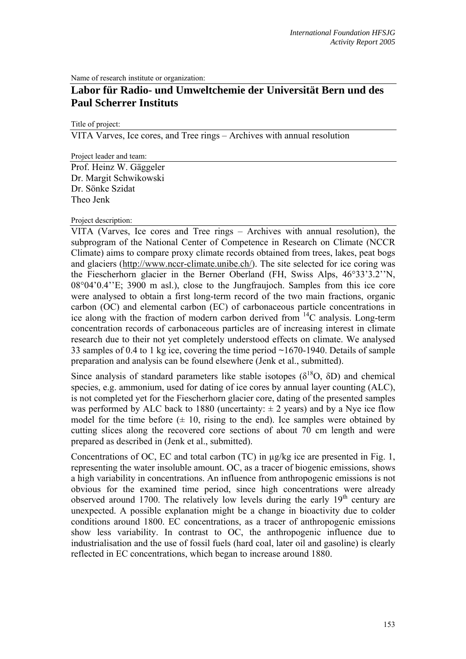Name of research institute or organization:

# **Labor für Radio- und Umweltchemie der Universität Bern und des Paul Scherrer Instituts**

Title of project:

VITA Varves, Ice cores, and Tree rings – Archives with annual resolution

Project leader and team:

Prof. Heinz W. Gäggeler Dr. Margit Schwikowski Dr. Sönke Szidat Theo Jenk

## Project description:

VITA (Varves, Ice cores and Tree rings – Archives with annual resolution), the subprogram of the National Center of Competence in Research on Climate (NCCR Climate) aims to compare proxy climate records obtained from trees, lakes, peat bogs and glaciers (http://www.nccr-climate.unibe.ch/). The site selected for ice coring was the Fiescherhorn glacier in the Berner Oberland (FH, Swiss Alps, 46°33'3.2''N, 08°04'0.4''E; 3900 m asl.), close to the Jungfraujoch. Samples from this ice core were analysed to obtain a first long-term record of the two main fractions, organic carbon (OC) and elemental carbon (EC) of carbonaceous particle concentrations in ice along with the fraction of modern carbon derived from  $14C$  analysis. Long-term concentration records of carbonaceous particles are of increasing interest in climate research due to their not yet completely understood effects on climate. We analysed 33 samples of 0.4 to 1 kg ice, covering the time period ~1670-1940. Details of sample preparation and analysis can be found elsewhere (Jenk et al., submitted).

Since analysis of standard parameters like stable isotopes ( $\delta^{18}O$ ,  $\delta D$ ) and chemical species, e.g. ammonium, used for dating of ice cores by annual layer counting (ALC), is not completed yet for the Fiescherhorn glacier core, dating of the presented samples was performed by ALC back to 1880 (uncertainty:  $\pm$  2 years) and by a Nye ice flow model for the time before  $(± 10,$  rising to the end). Ice samples were obtained by cutting slices along the recovered core sections of about 70 cm length and were prepared as described in (Jenk et al., submitted).

Concentrations of OC, EC and total carbon (TC) in µg/kg ice are presented in Fig. 1, representing the water insoluble amount. OC, as a tracer of biogenic emissions, shows a high variability in concentrations. An influence from anthropogenic emissions is not obvious for the examined time period, since high concentrations were already observed around 1700. The relatively low levels during the early  $19<sup>th</sup>$  century are unexpected. A possible explanation might be a change in bioactivity due to colder conditions around 1800. EC concentrations, as a tracer of anthropogenic emissions show less variability. In contrast to OC, the anthropogenic influence due to industrialisation and the use of fossil fuels (hard coal, later oil and gasoline) is clearly reflected in EC concentrations, which began to increase around 1880.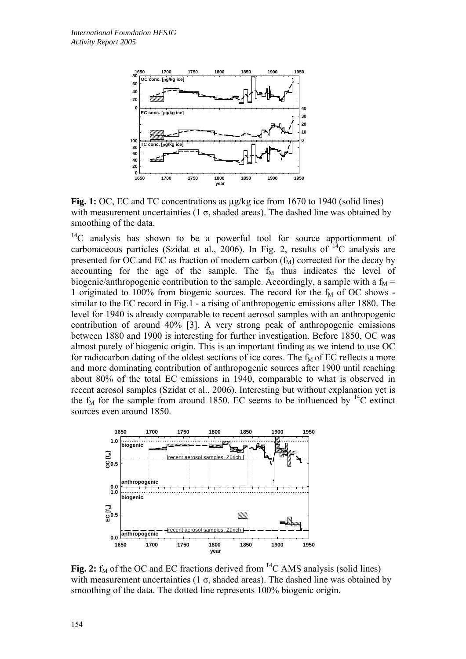

**Fig. 1:** OC, EC and TC concentrations as µg/kg ice from 1670 to 1940 (solid lines) with measurement uncertainties (1  $\sigma$ , shaded areas). The dashed line was obtained by smoothing of the data.

<sup>14</sup>C analysis has shown to be a powerful tool for source apportionment of carbonaceous particles (Szidat et al., 2006). In Fig. 2, results of  $^{14}C$  analysis are presented for OC and EC as fraction of modern carbon  $(f_M)$  corrected for the decay by accounting for the age of the sample. The  $f<sub>M</sub>$  thus indicates the level of biogenic/anthropogenic contribution to the sample. Accordingly, a sample with a  $f_M$  = 1 originated to 100% from biogenic sources. The record for the  $f<sub>M</sub>$  of OC shows similar to the EC record in Fig.1 - a rising of anthropogenic emissions after 1880. The level for 1940 is already comparable to recent aerosol samples with an anthropogenic contribution of around 40% [3]. A very strong peak of anthropogenic emissions between 1880 and 1900 is interesting for further investigation. Before 1850, OC was almost purely of biogenic origin. This is an important finding as we intend to use OC for radiocarbon dating of the oldest sections of ice cores. The  $f<sub>M</sub>$  of EC reflects a more and more dominating contribution of anthropogenic sources after 1900 until reaching about 80% of the total EC emissions in 1940, comparable to what is observed in recent aerosol samples (Szidat et al., 2006). Interesting but without explanation yet is the  $f_M$  for the sample from around 1850. EC seems to be influenced by  ${}^{14}C$  extinct sources even around 1850.



**Fig. 2:**  $f_M$  of the OC and EC fractions derived from <sup>14</sup>C AMS analysis (solid lines) with measurement uncertainties (1  $\sigma$ , shaded areas). The dashed line was obtained by smoothing of the data. The dotted line represents 100% biogenic origin.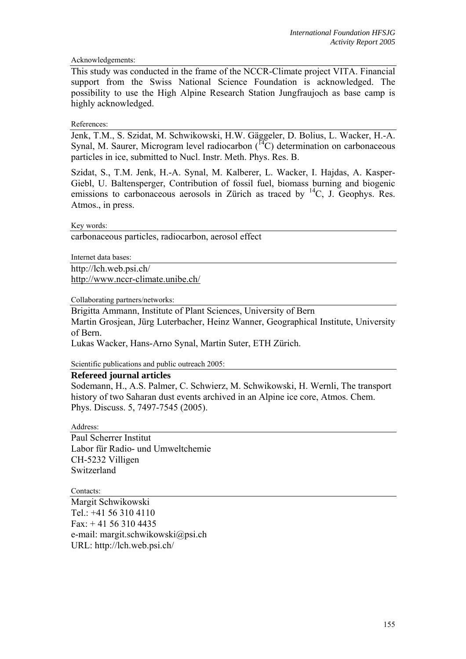## Acknowledgements:

This study was conducted in the frame of the NCCR-Climate project VITA. Financial support from the Swiss National Science Foundation is acknowledged. The possibility to use the High Alpine Research Station Jungfraujoch as base camp is highly acknowledged.

## References:

Jenk, T.M., S. Szidat, M. Schwikowski, H.W. Gäggeler, D. Bolius, L. Wacker, H.-A. Synal, M. Saurer, Microgram level radiocarbon  $(14)$  determination on carbonaceous particles in ice, submitted to Nucl. Instr. Meth. Phys. Res. B.

Szidat, S., T.M. Jenk, H.-A. Synal, M. Kalberer, L. Wacker, I. Hajdas, A. Kasper-Giebl, U. Baltensperger, Contribution of fossil fuel, biomass burning and biogenic emissions to carbonaceous aerosols in Zürich as traced by  ${}^{14}C$ , J. Geophys. Res. Atmos., in press.

Key words:

carbonaceous particles, radiocarbon, aerosol effect

Internet data bases:

http://lch.web.psi.ch/ http://www.nccr-climate.unibe.ch/

Collaborating partners/networks:

Brigitta Ammann, Institute of Plant Sciences, University of Bern Martin Grosjean, Jürg Luterbacher, Heinz Wanner, Geographical Institute, University of Bern.

Lukas Wacker, Hans-Arno Synal, Martin Suter, ETH Zürich.

Scientific publications and public outreach 2005:

### **Refereed journal articles**

Sodemann, H., A.S. Palmer, C. Schwierz, M. Schwikowski, H. Wernli, The transport history of two Saharan dust events archived in an Alpine ice core, Atmos. Chem. Phys. Discuss. 5, 7497-7545 (2005).

Address:

Paul Scherrer Institut Labor für Radio- und Umweltchemie CH-5232 Villigen Switzerland

Contacts:

Margit Schwikowski Tel.: +41 56 310 4110 Fax: + 41 56 310 4435 e-mail: margit.schwikowski@psi.ch URL: http://lch.web.psi.ch/